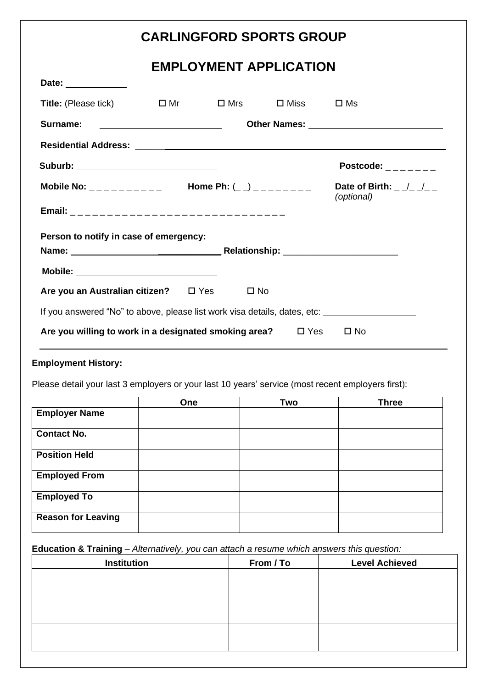|                                                                                                                                  | <b>CARLINGFORD SPORTS GROUP</b> |                |                                                                                               |
|----------------------------------------------------------------------------------------------------------------------------------|---------------------------------|----------------|-----------------------------------------------------------------------------------------------|
|                                                                                                                                  | <b>EMPLOYMENT APPLICATION</b>   |                |                                                                                               |
| Date: _____________                                                                                                              |                                 |                |                                                                                               |
| <b>Title:</b> (Please tick)                                                                                                      | $\square$ Mr $\square$ Mrs      | $\square$ Miss | $\square$ Ms                                                                                  |
| Surname:<br><u> Liste de la construcción de la construcción de la construcción de la construcción de la construcción de la c</u> |                                 |                |                                                                                               |
|                                                                                                                                  |                                 |                |                                                                                               |
| Suburb: _________________________________                                                                                        |                                 |                | Postcode: $\frac{1}{2}$ $\frac{1}{2}$ $\frac{1}{2}$ $\frac{1}{2}$ $\frac{1}{2}$ $\frac{1}{2}$ |
| Mobile No: __________ Home Ph: $($ _) ________ Date of Birth: _/_/__                                                             |                                 |                | (optional)                                                                                    |
|                                                                                                                                  |                                 |                |                                                                                               |
| Person to notify in case of emergency:                                                                                           |                                 |                |                                                                                               |
|                                                                                                                                  |                                 |                |                                                                                               |
| Mobile: __________________________________                                                                                       |                                 |                |                                                                                               |
| Are you an Australian citizen? □ Yes □ No                                                                                        |                                 |                |                                                                                               |
| If you answered "No" to above, please list work visa details, dates, etc: _________________________                              |                                 |                |                                                                                               |
| Are you willing to work in a designated smoking area? $\square$ Yes $\square$ No                                                 |                                 |                |                                                                                               |
| <b>Employment History:</b>                                                                                                       |                                 |                |                                                                                               |
| Please detail your last 3 employers or your last 10 years' service (most recent employers first):                                |                                 |                |                                                                                               |
|                                                                                                                                  |                                 |                |                                                                                               |

|                           | One | Two | <b>Three</b> |
|---------------------------|-----|-----|--------------|
| <b>Employer Name</b>      |     |     |              |
| <b>Contact No.</b>        |     |     |              |
| <b>Position Held</b>      |     |     |              |
| <b>Employed From</b>      |     |     |              |
| <b>Employed To</b>        |     |     |              |
| <b>Reason for Leaving</b> |     |     |              |
|                           |     |     |              |

## **Education & Training** – *Alternatively, you can attach a resume which answers this question:*

| <b>Institution</b> | From / To | <b>Level Achieved</b> |
|--------------------|-----------|-----------------------|
|                    |           |                       |
|                    |           |                       |
|                    |           |                       |
|                    |           |                       |
|                    |           |                       |
|                    |           |                       |